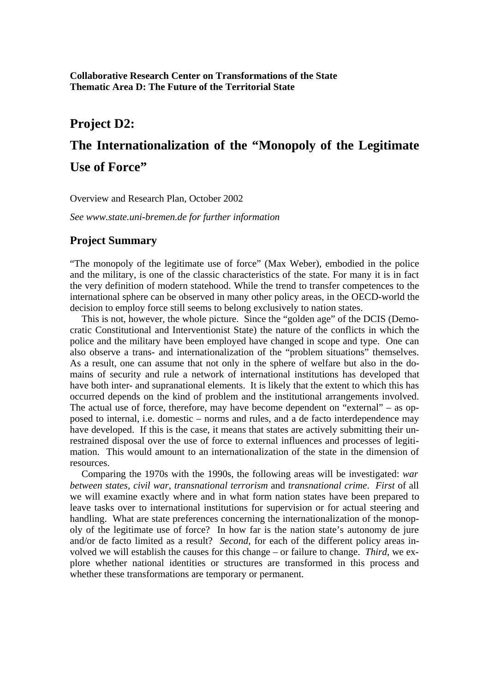**Collaborative Research Center on Transformations of the State Thematic Area D: The Future of the Territorial State**

## **Project D2:**

# **The Internationalization of the "Monopoly of the Legitimate Use of Force"**

Overview and Research Plan, October 2002

*See www.state.uni-bremen.de for further information*

## **Project Summary**

"The monopoly of the legitimate use of force" (Max Weber), embodied in the police and the military, is one of the classic characteristics of the state. For many it is in fact the very definition of modern statehood. While the trend to transfer competences to the international sphere can be observed in many other policy areas, in the OECD-world the decision to employ force still seems to belong exclusively to nation states.

This is not, however, the whole picture. Since the "golden age" of the DCIS (Democratic Constitutional and Interventionist State) the nature of the conflicts in which the police and the military have been employed have changed in scope and type. One can also observe a trans- and internationalization of the "problem situations" themselves. As a result, one can assume that not only in the sphere of welfare but also in the domains of security and rule a network of international institutions has developed that have both inter- and supranational elements. It is likely that the extent to which this has occurred depends on the kind of problem and the institutional arrangements involved. The actual use of force, therefore, may have become dependent on "external" – as opposed to internal, i.e. domestic – norms and rules, and a de facto interdependence may have developed. If this is the case, it means that states are actively submitting their unrestrained disposal over the use of force to external influences and processes of legitimation. This would amount to an internationalization of the state in the dimension of resources.

Comparing the 1970s with the 1990s, the following areas will be investigated: *war between states, civil war, transnational terrorism* and *transnational crime*. *First* of all we will examine exactly where and in what form nation states have been prepared to leave tasks over to international institutions for supervision or for actual steering and handling. What are state preferences concerning the internationalization of the monopoly of the legitimate use of force? In how far is the nation state's autonomy de jure and/or de facto limited as a result? *Second*, for each of the different policy areas involved we will establish the causes for this change – or failure to change. *Third*, we explore whether national identities or structures are transformed in this process and whether these transformations are temporary or permanent.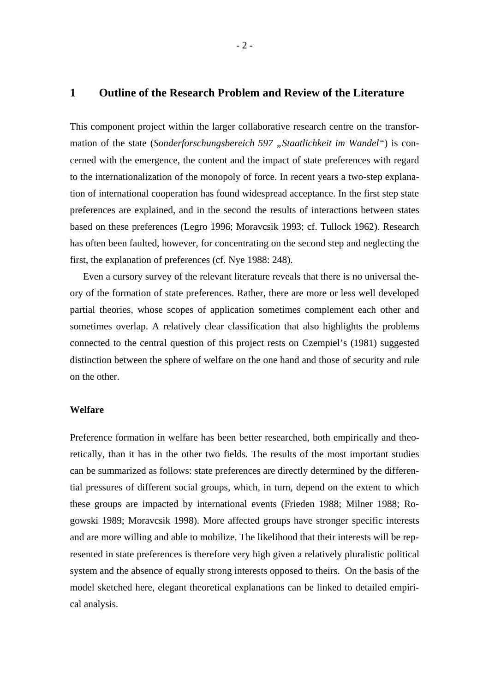#### **1 Outline of the Research Problem and Review of the Literature**

This component project within the larger collaborative research centre on the transformation of the state (*Sonderforschungsbereich 597* "*Staatlichkeit im Wandel"*) is concerned with the emergence, the content and the impact of state preferences with regard to the internationalization of the monopoly of force. In recent years a two-step explanation of international cooperation has found widespread acceptance. In the first step state preferences are explained, and in the second the results of interactions between states based on these preferences (Legro 1996; Moravcsik 1993; cf. Tullock 1962). Research has often been faulted, however, for concentrating on the second step and neglecting the first, the explanation of preferences (cf. Nye 1988: 248).

Even a cursory survey of the relevant literature reveals that there is no universal theory of the formation of state preferences. Rather, there are more or less well developed partial theories, whose scopes of application sometimes complement each other and sometimes overlap. A relatively clear classification that also highlights the problems connected to the central question of this project rests on Czempiel's (1981) suggested distinction between the sphere of welfare on the one hand and those of security and rule on the other.

### **Welfare**

Preference formation in welfare has been better researched, both empirically and theoretically, than it has in the other two fields. The results of the most important studies can be summarized as follows: state preferences are directly determined by the differential pressures of different social groups, which, in turn, depend on the extent to which these groups are impacted by international events (Frieden 1988; Milner 1988; Rogowski 1989; Moravcsik 1998). More affected groups have stronger specific interests and are more willing and able to mobilize. The likelihood that their interests will be represented in state preferences is therefore very high given a relatively pluralistic political system and the absence of equally strong interests opposed to theirs. On the basis of the model sketched here, elegant theoretical explanations can be linked to detailed empirical analysis.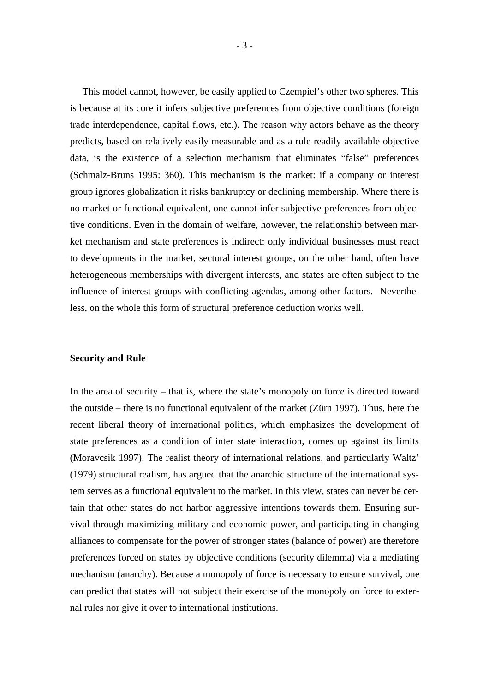This model cannot, however, be easily applied to Czempiel's other two spheres. This is because at its core it infers subjective preferences from objective conditions (foreign trade interdependence, capital flows, etc.). The reason why actors behave as the theory predicts, based on relatively easily measurable and as a rule readily available objective data, is the existence of a selection mechanism that eliminates "false" preferences (Schmalz-Bruns 1995: 360). This mechanism is the market: if a company or interest group ignores globalization it risks bankruptcy or declining membership. Where there is no market or functional equivalent, one cannot infer subjective preferences from objective conditions. Even in the domain of welfare, however, the relationship between market mechanism and state preferences is indirect: only individual businesses must react to developments in the market, sectoral interest groups, on the other hand, often have heterogeneous memberships with divergent interests, and states are often subject to the influence of interest groups with conflicting agendas, among other factors. Nevertheless, on the whole this form of structural preference deduction works well.

#### **Security and Rule**

In the area of security – that is, where the state's monopoly on force is directed toward the outside – there is no functional equivalent of the market (Zürn 1997). Thus, here the recent liberal theory of international politics, which emphasizes the development of state preferences as a condition of inter state interaction, comes up against its limits (Moravcsik 1997). The realist theory of international relations, and particularly Waltz' (1979) structural realism, has argued that the anarchic structure of the international system serves as a functional equivalent to the market. In this view, states can never be certain that other states do not harbor aggressive intentions towards them. Ensuring survival through maximizing military and economic power, and participating in changing alliances to compensate for the power of stronger states (balance of power) are therefore preferences forced on states by objective conditions (security dilemma) via a mediating mechanism (anarchy). Because a monopoly of force is necessary to ensure survival, one can predict that states will not subject their exercise of the monopoly on force to external rules nor give it over to international institutions.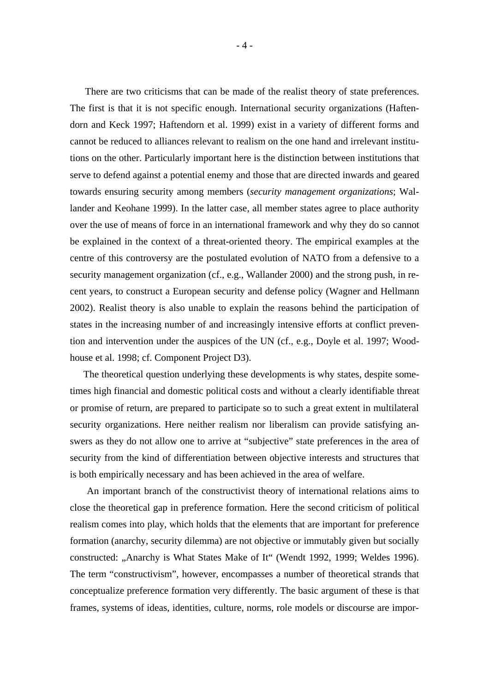There are two criticisms that can be made of the realist theory of state preferences. The first is that it is not specific enough. International security organizations (Haftendorn and Keck 1997; Haftendorn et al. 1999) exist in a variety of different forms and cannot be reduced to alliances relevant to realism on the one hand and irrelevant institutions on the other. Particularly important here is the distinction between institutions that serve to defend against a potential enemy and those that are directed inwards and geared towards ensuring security among members (*security management organizations*; Wallander and Keohane 1999). In the latter case, all member states agree to place authority over the use of means of force in an international framework and why they do so cannot be explained in the context of a threat-oriented theory. The empirical examples at the centre of this controversy are the postulated evolution of NATO from a defensive to a security management organization (cf., e.g., Wallander 2000) and the strong push, in recent years, to construct a European security and defense policy (Wagner and Hellmann 2002). Realist theory is also unable to explain the reasons behind the participation of states in the increasing number of and increasingly intensive efforts at conflict prevention and intervention under the auspices of the UN (cf., e.g., Doyle et al. 1997; Woodhouse et al. 1998; cf. Component Project D3).

The theoretical question underlying these developments is why states, despite sometimes high financial and domestic political costs and without a clearly identifiable threat or promise of return, are prepared to participate so to such a great extent in multilateral security organizations. Here neither realism nor liberalism can provide satisfying answers as they do not allow one to arrive at "subjective" state preferences in the area of security from the kind of differentiation between objective interests and structures that is both empirically necessary and has been achieved in the area of welfare.

An important branch of the constructivist theory of international relations aims to close the theoretical gap in preference formation. Here the second criticism of political realism comes into play, which holds that the elements that are important for preference formation (anarchy, security dilemma) are not objective or immutably given but socially constructed: "Anarchy is What States Make of It" (Wendt 1992, 1999; Weldes 1996). The term "constructivism", however, encompasses a number of theoretical strands that conceptualize preference formation very differently. The basic argument of these is that frames, systems of ideas, identities, culture, norms, role models or discourse are impor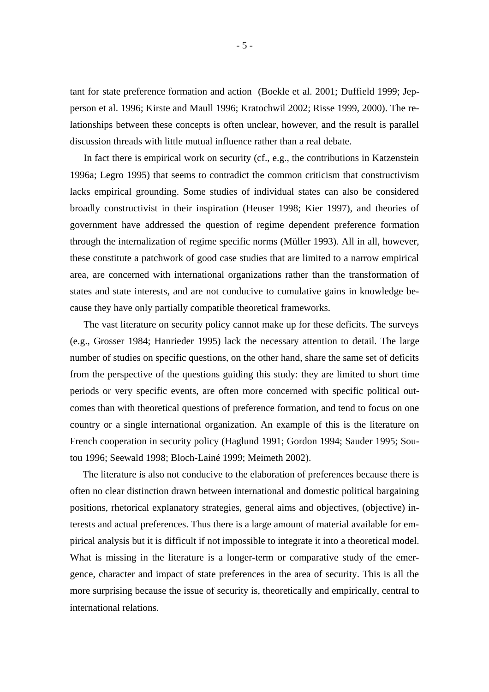tant for state preference formation and action (Boekle et al. 2001; Duffield 1999; Jepperson et al. 1996; Kirste and Maull 1996; Kratochwil 2002; Risse 1999, 2000). The relationships between these concepts is often unclear, however, and the result is parallel discussion threads with little mutual influence rather than a real debate.

In fact there is empirical work on security (cf., e.g., the contributions in Katzenstein 1996a; Legro 1995) that seems to contradict the common criticism that constructivism lacks empirical grounding. Some studies of individual states can also be considered broadly constructivist in their inspiration (Heuser 1998; Kier 1997), and theories of government have addressed the question of regime dependent preference formation through the internalization of regime specific norms (Müller 1993). All in all, however, these constitute a patchwork of good case studies that are limited to a narrow empirical area, are concerned with international organizations rather than the transformation of states and state interests, and are not conducive to cumulative gains in knowledge because they have only partially compatible theoretical frameworks.

The vast literature on security policy cannot make up for these deficits. The surveys (e.g., Grosser 1984; Hanrieder 1995) lack the necessary attention to detail. The large number of studies on specific questions, on the other hand, share the same set of deficits from the perspective of the questions guiding this study: they are limited to short time periods or very specific events, are often more concerned with specific political outcomes than with theoretical questions of preference formation, and tend to focus on one country or a single international organization. An example of this is the literature on French cooperation in security policy (Haglund 1991; Gordon 1994; Sauder 1995; Soutou 1996; Seewald 1998; Bloch-Lainé 1999; Meimeth 2002).

The literature is also not conducive to the elaboration of preferences because there is often no clear distinction drawn between international and domestic political bargaining positions, rhetorical explanatory strategies, general aims and objectives, (objective) interests and actual preferences. Thus there is a large amount of material available for empirical analysis but it is difficult if not impossible to integrate it into a theoretical model. What is missing in the literature is a longer-term or comparative study of the emergence, character and impact of state preferences in the area of security. This is all the more surprising because the issue of security is, theoretically and empirically, central to international relations.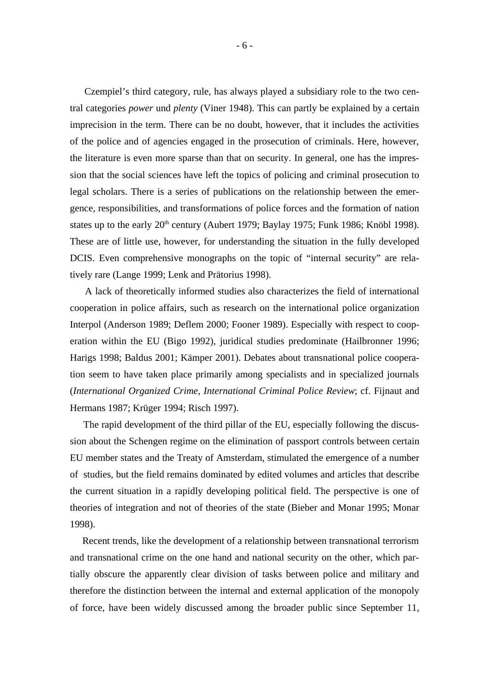Czempiel's third category, rule, has always played a subsidiary role to the two central categories *power* und *plenty* (Viner 1948). This can partly be explained by a certain imprecision in the term. There can be no doubt, however, that it includes the activities of the police and of agencies engaged in the prosecution of criminals. Here, however, the literature is even more sparse than that on security. In general, one has the impression that the social sciences have left the topics of policing and criminal prosecution to legal scholars. There is a series of publications on the relationship between the emergence, responsibilities, and transformations of police forces and the formation of nation states up to the early  $20<sup>th</sup>$  century (Aubert 1979; Baylay 1975; Funk 1986; Knöbl 1998). These are of little use, however, for understanding the situation in the fully developed DCIS. Even comprehensive monographs on the topic of "internal security" are relatively rare (Lange 1999; Lenk and Prätorius 1998).

A lack of theoretically informed studies also characterizes the field of international cooperation in police affairs, such as research on the international police organization Interpol (Anderson 1989; Deflem 2000; Fooner 1989). Especially with respect to cooperation within the EU (Bigo 1992), juridical studies predominate (Hailbronner 1996; Harigs 1998; Baldus 2001; Kämper 2001). Debates about transnational police cooperation seem to have taken place primarily among specialists and in specialized journals (*International Organized Crime*, *International Criminal Police Review*; cf. Fijnaut and Hermans 1987; Krüger 1994; Risch 1997).

The rapid development of the third pillar of the EU, especially following the discussion about the Schengen regime on the elimination of passport controls between certain EU member states and the Treaty of Amsterdam, stimulated the emergence of a number of studies, but the field remains dominated by edited volumes and articles that describe the current situation in a rapidly developing political field. The perspective is one of theories of integration and not of theories of the state (Bieber and Monar 1995; Monar 1998).

Recent trends, like the development of a relationship between transnational terrorism and transnational crime on the one hand and national security on the other, which partially obscure the apparently clear division of tasks between police and military and therefore the distinction between the internal and external application of the monopoly of force, have been widely discussed among the broader public since September 11,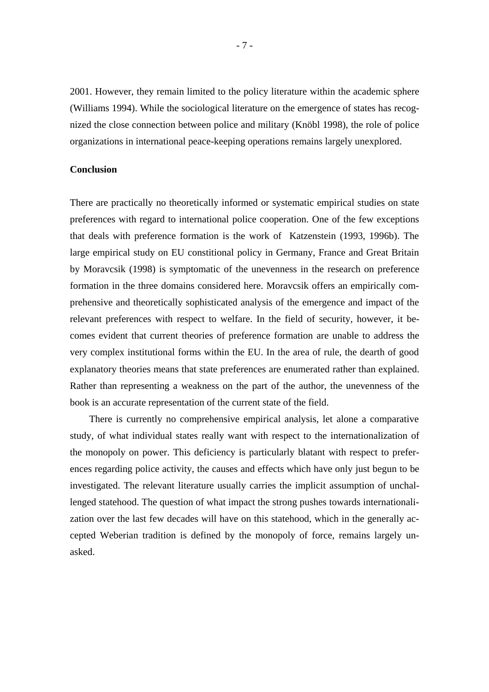2001. However, they remain limited to the policy literature within the academic sphere (Williams 1994). While the sociological literature on the emergence of states has recognized the close connection between police and military (Knöbl 1998), the role of police organizations in international peace-keeping operations remains largely unexplored.

#### **Conclusion**

There are practically no theoretically informed or systematic empirical studies on state preferences with regard to international police cooperation. One of the few exceptions that deals with preference formation is the work of Katzenstein (1993, 1996b). The large empirical study on EU constitional policy in Germany, France and Great Britain by Moravcsik (1998) is symptomatic of the unevenness in the research on preference formation in the three domains considered here. Moravcsik offers an empirically comprehensive and theoretically sophisticated analysis of the emergence and impact of the relevant preferences with respect to welfare. In the field of security, however, it becomes evident that current theories of preference formation are unable to address the very complex institutional forms within the EU. In the area of rule, the dearth of good explanatory theories means that state preferences are enumerated rather than explained. Rather than representing a weakness on the part of the author, the unevenness of the book is an accurate representation of the current state of the field.

There is currently no comprehensive empirical analysis, let alone a comparative study, of what individual states really want with respect to the internationalization of the monopoly on power. This deficiency is particularly blatant with respect to preferences regarding police activity, the causes and effects which have only just begun to be investigated. The relevant literature usually carries the implicit assumption of unchallenged statehood. The question of what impact the strong pushes towards internationalization over the last few decades will have on this statehood, which in the generally accepted Weberian tradition is defined by the monopoly of force, remains largely unasked.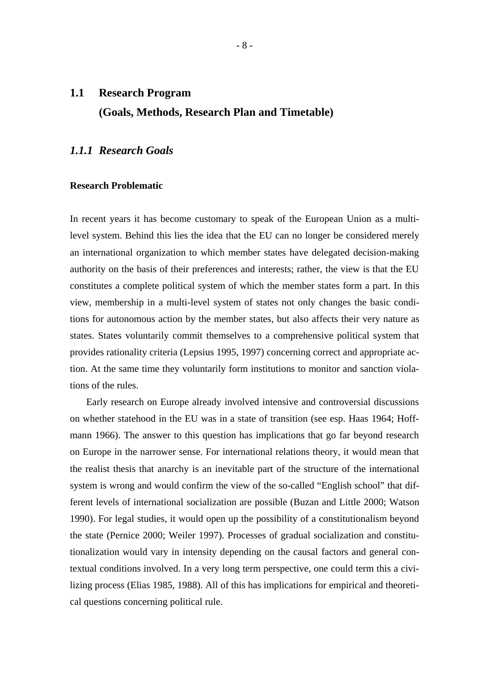## **1.1 Research Program (Goals, Methods, Research Plan and Timetable)**

## *1.1.1 Research Goals*

### **Research Problematic**

In recent years it has become customary to speak of the European Union as a multilevel system. Behind this lies the idea that the EU can no longer be considered merely an international organization to which member states have delegated decision-making authority on the basis of their preferences and interests; rather, the view is that the EU constitutes a complete political system of which the member states form a part. In this view, membership in a multi-level system of states not only changes the basic conditions for autonomous action by the member states, but also affects their very nature as states. States voluntarily commit themselves to a comprehensive political system that provides rationality criteria (Lepsius 1995, 1997) concerning correct and appropriate action. At the same time they voluntarily form institutions to monitor and sanction violations of the rules.

Early research on Europe already involved intensive and controversial discussions on whether statehood in the EU was in a state of transition (see esp. Haas 1964; Hoffmann 1966). The answer to this question has implications that go far beyond research on Europe in the narrower sense. For international relations theory, it would mean that the realist thesis that anarchy is an inevitable part of the structure of the international system is wrong and would confirm the view of the so-called "English school" that different levels of international socialization are possible (Buzan and Little 2000; Watson 1990). For legal studies, it would open up the possibility of a constitutionalism beyond the state (Pernice 2000; Weiler 1997). Processes of gradual socialization and constitutionalization would vary in intensity depending on the causal factors and general contextual conditions involved. In a very long term perspective, one could term this a civilizing process (Elias 1985, 1988). All of this has implications for empirical and theoretical questions concerning political rule.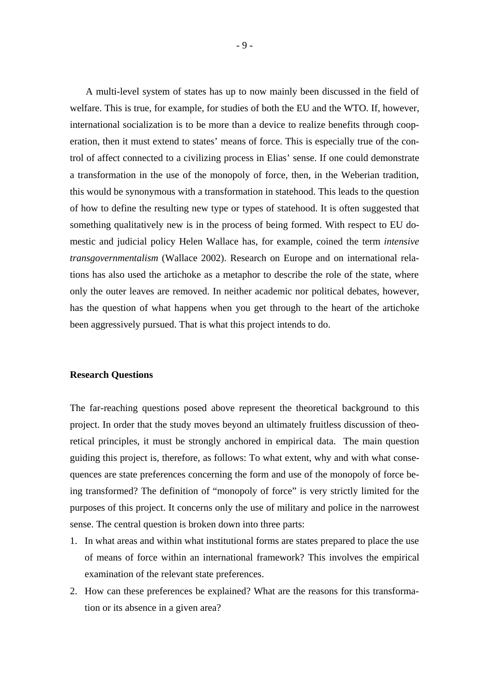A multi-level system of states has up to now mainly been discussed in the field of welfare. This is true, for example, for studies of both the EU and the WTO. If, however, international socialization is to be more than a device to realize benefits through cooperation, then it must extend to states' means of force. This is especially true of the control of affect connected to a civilizing process in Elias' sense. If one could demonstrate a transformation in the use of the monopoly of force, then, in the Weberian tradition, this would be synonymous with a transformation in statehood. This leads to the question of how to define the resulting new type or types of statehood. It is often suggested that something qualitatively new is in the process of being formed. With respect to EU domestic and judicial policy Helen Wallace has, for example, coined the term *intensive transgovernmentalism* (Wallace 2002). Research on Europe and on international relations has also used the artichoke as a metaphor to describe the role of the state, where only the outer leaves are removed. In neither academic nor political debates, however, has the question of what happens when you get through to the heart of the artichoke been aggressively pursued. That is what this project intends to do.

#### **Research Questions**

The far-reaching questions posed above represent the theoretical background to this project. In order that the study moves beyond an ultimately fruitless discussion of theoretical principles, it must be strongly anchored in empirical data. The main question guiding this project is, therefore, as follows: To what extent, why and with what consequences are state preferences concerning the form and use of the monopoly of force being transformed? The definition of "monopoly of force" is very strictly limited for the purposes of this project. It concerns only the use of military and police in the narrowest sense. The central question is broken down into three parts:

- 1. In what areas and within what institutional forms are states prepared to place the use of means of force within an international framework? This involves the empirical examination of the relevant state preferences.
- 2. How can these preferences be explained? What are the reasons for this transformation or its absence in a given area?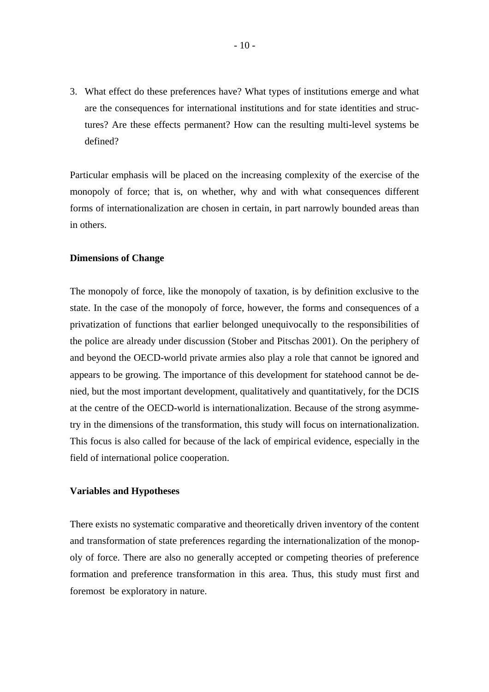3. What effect do these preferences have? What types of institutions emerge and what are the consequences for international institutions and for state identities and structures? Are these effects permanent? How can the resulting multi-level systems be defined?

Particular emphasis will be placed on the increasing complexity of the exercise of the monopoly of force; that is, on whether, why and with what consequences different forms of internationalization are chosen in certain, in part narrowly bounded areas than in others.

#### **Dimensions of Change**

The monopoly of force, like the monopoly of taxation, is by definition exclusive to the state. In the case of the monopoly of force, however, the forms and consequences of a privatization of functions that earlier belonged unequivocally to the responsibilities of the police are already under discussion (Stober and Pitschas 2001). On the periphery of and beyond the OECD-world private armies also play a role that cannot be ignored and appears to be growing. The importance of this development for statehood cannot be denied, but the most important development, qualitatively and quantitatively, for the DCIS at the centre of the OECD-world is internationalization. Because of the strong asymmetry in the dimensions of the transformation, this study will focus on internationalization. This focus is also called for because of the lack of empirical evidence, especially in the field of international police cooperation.

#### **Variables and Hypotheses**

There exists no systematic comparative and theoretically driven inventory of the content and transformation of state preferences regarding the internationalization of the monopoly of force. There are also no generally accepted or competing theories of preference formation and preference transformation in this area. Thus, this study must first and foremost be exploratory in nature.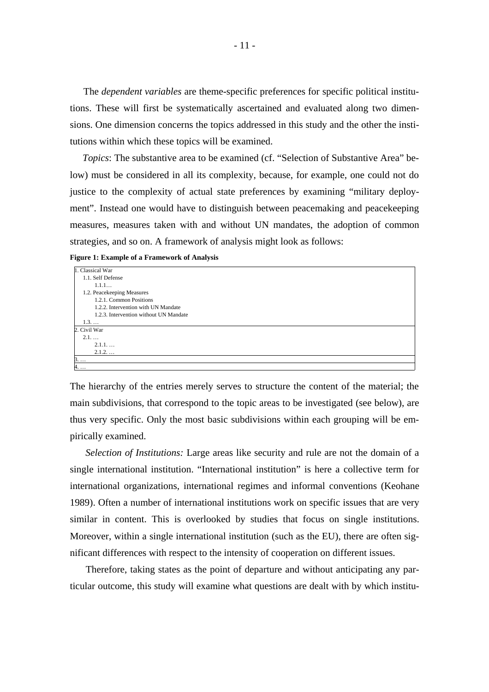The *dependent variables* are theme-specific preferences for specific political institutions. These will first be systematically ascertained and evaluated along two dimensions. One dimension concerns the topics addressed in this study and the other the institutions within which these topics will be examined.

*Topics*: The substantive area to be examined (cf. "Selection of Substantive Area" below) must be considered in all its complexity, because, for example, one could not do justice to the complexity of actual state preferences by examining "military deployment". Instead one would have to distinguish between peacemaking and peacekeeping measures, measures taken with and without UN mandates, the adoption of common strategies, and so on. A framework of analysis might look as follows:

**Figure 1: Example of a Framework of Analysis** 

| 1. Classical War                       |
|----------------------------------------|
| 1.1. Self Defense                      |
| 1.1.1                                  |
| 1.2. Peacekeeping Measures             |
| 1.2.1. Common Positions                |
| 1.2.2. Intervention with UN Mandate    |
| 1.2.3. Intervention without UN Mandate |
| $1.3. \dots$                           |
| 2. Civil War                           |
| 2.1                                    |
| $2.1.1.$                               |
| $2.1.2.$                               |
| $3. \ldots$                            |
| 4.                                     |

The hierarchy of the entries merely serves to structure the content of the material; the main subdivisions, that correspond to the topic areas to be investigated (see below), are thus very specific. Only the most basic subdivisions within each grouping will be empirically examined.

*Selection of Institutions:* Large areas like security and rule are not the domain of a single international institution. "International institution" is here a collective term for international organizations, international regimes and informal conventions (Keohane 1989). Often a number of international institutions work on specific issues that are very similar in content. This is overlooked by studies that focus on single institutions. Moreover, within a single international institution (such as the EU), there are often significant differences with respect to the intensity of cooperation on different issues.

Therefore, taking states as the point of departure and without anticipating any particular outcome, this study will examine what questions are dealt with by which institu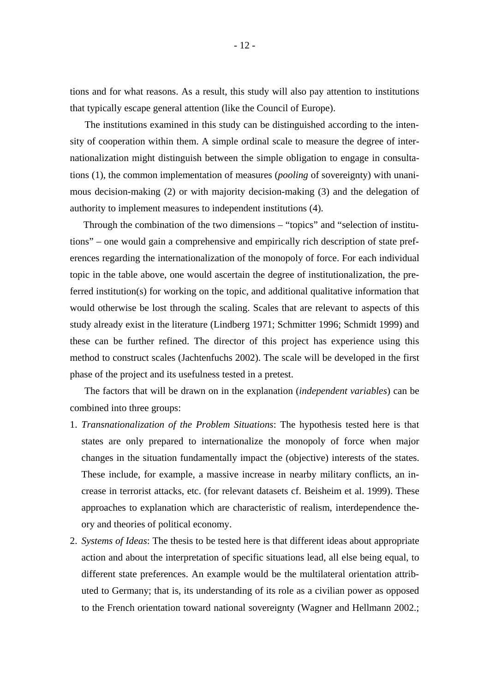tions and for what reasons. As a result, this study will also pay attention to institutions that typically escape general attention (like the Council of Europe).

The institutions examined in this study can be distinguished according to the intensity of cooperation within them. A simple ordinal scale to measure the degree of internationalization might distinguish between the simple obligation to engage in consultations (1), the common implementation of measures (*pooling* of sovereignty) with unanimous decision-making (2) or with majority decision-making (3) and the delegation of authority to implement measures to independent institutions (4).

Through the combination of the two dimensions – "topics" and "selection of institutions" – one would gain a comprehensive and empirically rich description of state preferences regarding the internationalization of the monopoly of force. For each individual topic in the table above, one would ascertain the degree of institutionalization, the preferred institution(s) for working on the topic, and additional qualitative information that would otherwise be lost through the scaling. Scales that are relevant to aspects of this study already exist in the literature (Lindberg 1971; Schmitter 1996; Schmidt 1999) and these can be further refined. The director of this project has experience using this method to construct scales (Jachtenfuchs 2002). The scale will be developed in the first phase of the project and its usefulness tested in a pretest.

The factors that will be drawn on in the explanation (*independent variables*) can be combined into three groups:

- 1. *Transnationalization of the Problem Situations*: The hypothesis tested here is that states are only prepared to internationalize the monopoly of force when major changes in the situation fundamentally impact the (objective) interests of the states. These include, for example, a massive increase in nearby military conflicts, an increase in terrorist attacks, etc. (for relevant datasets cf. Beisheim et al. 1999). These approaches to explanation which are characteristic of realism, interdependence theory and theories of political economy.
- 2. *Systems of Ideas*: The thesis to be tested here is that different ideas about appropriate action and about the interpretation of specific situations lead, all else being equal, to different state preferences. An example would be the multilateral orientation attributed to Germany; that is, its understanding of its role as a civilian power as opposed to the French orientation toward national sovereignty (Wagner and Hellmann 2002.;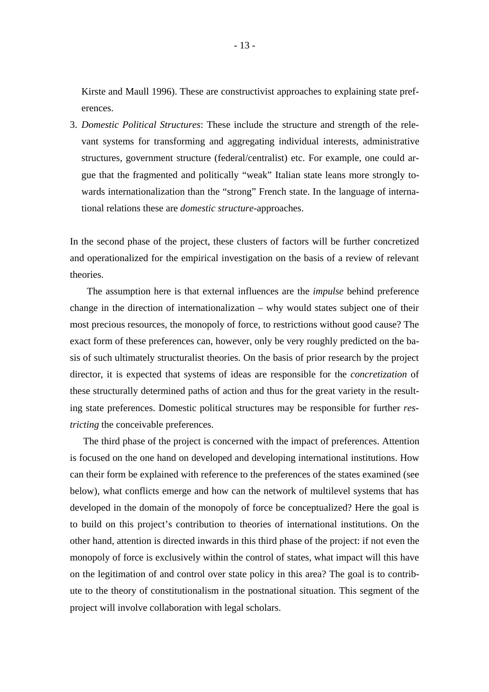Kirste and Maull 1996). These are constructivist approaches to explaining state preferences.

3. *Domestic Political Structures*: These include the structure and strength of the relevant systems for transforming and aggregating individual interests, administrative structures, government structure (federal/centralist) etc. For example, one could argue that the fragmented and politically "weak" Italian state leans more strongly towards internationalization than the "strong" French state. In the language of international relations these are *domestic structure*-approaches.

In the second phase of the project, these clusters of factors will be further concretized and operationalized for the empirical investigation on the basis of a review of relevant theories.

The assumption here is that external influences are the *impulse* behind preference change in the direction of internationalization – why would states subject one of their most precious resources, the monopoly of force, to restrictions without good cause? The exact form of these preferences can, however, only be very roughly predicted on the basis of such ultimately structuralist theories. On the basis of prior research by the project director, it is expected that systems of ideas are responsible for the *concretization* of these structurally determined paths of action and thus for the great variety in the resulting state preferences. Domestic political structures may be responsible for further *restricting* the conceivable preferences.

The third phase of the project is concerned with the impact of preferences. Attention is focused on the one hand on developed and developing international institutions. How can their form be explained with reference to the preferences of the states examined (see below), what conflicts emerge and how can the network of multilevel systems that has developed in the domain of the monopoly of force be conceptualized? Here the goal is to build on this project's contribution to theories of international institutions. On the other hand, attention is directed inwards in this third phase of the project: if not even the monopoly of force is exclusively within the control of states, what impact will this have on the legitimation of and control over state policy in this area? The goal is to contribute to the theory of constitutionalism in the postnational situation. This segment of the project will involve collaboration with legal scholars.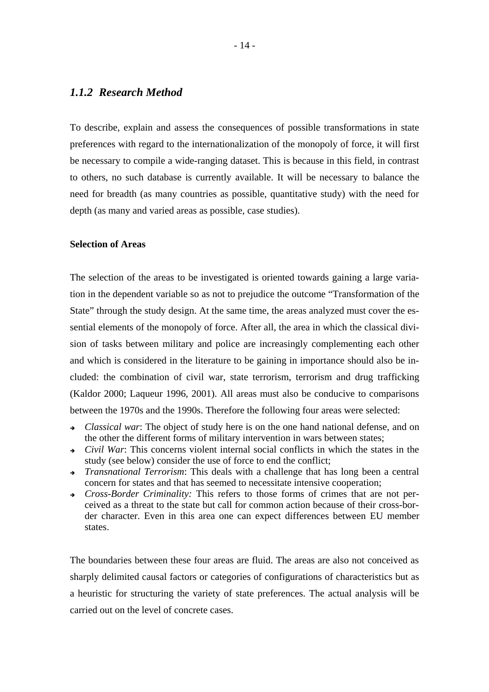## *1.1.2 Research Method*

To describe, explain and assess the consequences of possible transformations in state preferences with regard to the internationalization of the monopoly of force, it will first be necessary to compile a wide-ranging dataset. This is because in this field, in contrast to others, no such database is currently available. It will be necessary to balance the need for breadth (as many countries as possible, quantitative study) with the need for depth (as many and varied areas as possible, case studies).

#### **Selection of Areas**

The selection of the areas to be investigated is oriented towards gaining a large variation in the dependent variable so as not to prejudice the outcome "Transformation of the State" through the study design. At the same time, the areas analyzed must cover the essential elements of the monopoly of force. After all, the area in which the classical division of tasks between military and police are increasingly complementing each other and which is considered in the literature to be gaining in importance should also be included: the combination of civil war, state terrorism, terrorism and drug trafficking (Kaldor 2000; Laqueur 1996, 2001). All areas must also be conducive to comparisons between the 1970s and the 1990s. Therefore the following four areas were selected:

- *Classical war*: The object of study here is on the one hand national defense, and on the other the different forms of military intervention in wars between states;
- ! *Civil War*: This concerns violent internal social conflicts in which the states in the study (see below) consider the use of force to end the conflict;
- ! *Transnational Terrorism*: This deals with a challenge that has long been a central concern for states and that has seemed to necessitate intensive cooperation;
- ! *Cross-Border Criminality:* This refers to those forms of crimes that are not perceived as a threat to the state but call for common action because of their cross-border character. Even in this area one can expect differences between EU member states.

The boundaries between these four areas are fluid. The areas are also not conceived as sharply delimited causal factors or categories of configurations of characteristics but as a heuristic for structuring the variety of state preferences. The actual analysis will be carried out on the level of concrete cases.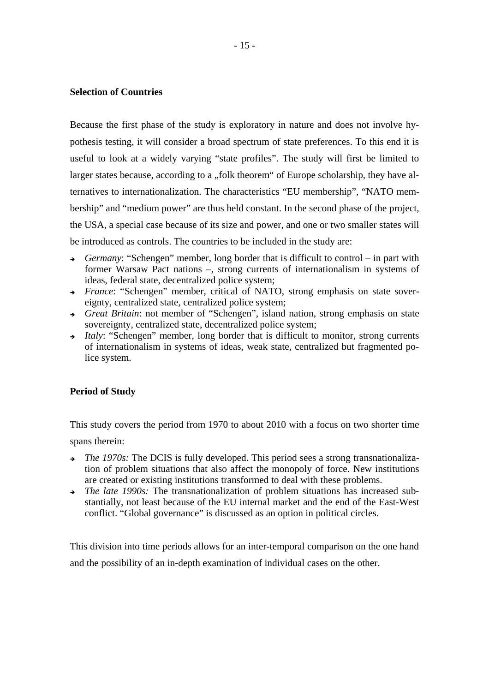#### **Selection of Countries**

Because the first phase of the study is exploratory in nature and does not involve hypothesis testing, it will consider a broad spectrum of state preferences. To this end it is useful to look at a widely varying "state profiles". The study will first be limited to larger states because, according to a "folk theorem" of Europe scholarship, they have alternatives to internationalization. The characteristics "EU membership", "NATO membership" and "medium power" are thus held constant. In the second phase of the project, the USA, a special case because of its size and power, and one or two smaller states will be introduced as controls. The countries to be included in the study are:

- ! *Germany*: "Schengen" member, long border that is difficult to control in part with former Warsaw Pact nations –, strong currents of internationalism in systems of ideas, federal state, decentralized police system;
- ! *France*: "Schengen" member, critical of NATO, strong emphasis on state sovereignty, centralized state, centralized police system;
- ! *Great Britain*: not member of "Schengen", island nation, strong emphasis on state sovereignty, centralized state, decentralized police system;
- **Italy: "Schengen" member, long border that is difficult to monitor, strong currents** of internationalism in systems of ideas, weak state, centralized but fragmented police system.

### **Period of Study**

This study covers the period from 1970 to about 2010 with a focus on two shorter time

spans therein:

- *The 1970s:* The DCIS is fully developed. This period sees a strong transnationalization of problem situations that also affect the monopoly of force. New institutions are created or existing institutions transformed to deal with these problems.
- ! *The late 1990s:* The transnationalization of problem situations has increased substantially, not least because of the EU internal market and the end of the East-West conflict. "Global governance" is discussed as an option in political circles.

This division into time periods allows for an inter-temporal comparison on the one hand and the possibility of an in-depth examination of individual cases on the other.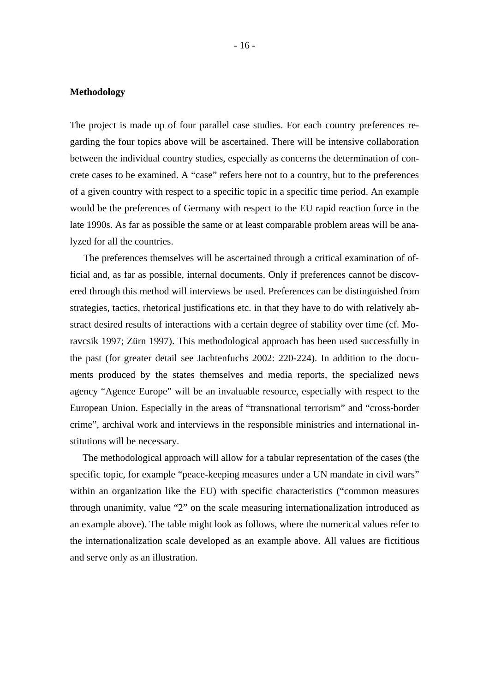#### **Methodology**

The project is made up of four parallel case studies. For each country preferences regarding the four topics above will be ascertained. There will be intensive collaboration between the individual country studies, especially as concerns the determination of concrete cases to be examined. A "case" refers here not to a country, but to the preferences of a given country with respect to a specific topic in a specific time period. An example would be the preferences of Germany with respect to the EU rapid reaction force in the late 1990s. As far as possible the same or at least comparable problem areas will be analyzed for all the countries.

The preferences themselves will be ascertained through a critical examination of official and, as far as possible, internal documents. Only if preferences cannot be discovered through this method will interviews be used. Preferences can be distinguished from strategies, tactics, rhetorical justifications etc. in that they have to do with relatively abstract desired results of interactions with a certain degree of stability over time (cf. Moravcsik 1997; Zürn 1997). This methodological approach has been used successfully in the past (for greater detail see Jachtenfuchs 2002: 220-224). In addition to the documents produced by the states themselves and media reports, the specialized news agency "Agence Europe" will be an invaluable resource, especially with respect to the European Union. Especially in the areas of "transnational terrorism" and "cross-border crime", archival work and interviews in the responsible ministries and international institutions will be necessary.

The methodological approach will allow for a tabular representation of the cases (the specific topic, for example "peace-keeping measures under a UN mandate in civil wars" within an organization like the EU) with specific characteristics ("common measures through unanimity, value "2" on the scale measuring internationalization introduced as an example above). The table might look as follows, where the numerical values refer to the internationalization scale developed as an example above. All values are fictitious and serve only as an illustration.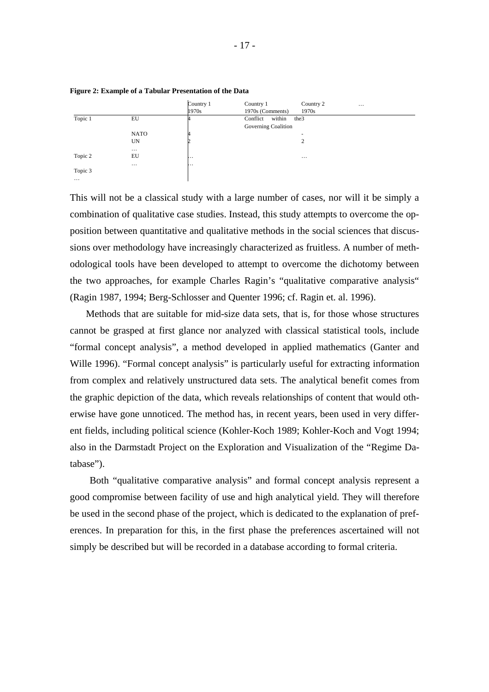

**Figure 2: Example of a Tabular Presentation of the Data**

This will not be a classical study with a large number of cases, nor will it be simply a combination of qualitative case studies. Instead, this study attempts to overcome the opposition between quantitative and qualitative methods in the social sciences that discussions over methodology have increasingly characterized as fruitless. A number of methodological tools have been developed to attempt to overcome the dichotomy between the two approaches, for example Charles Ragin's "qualitative comparative analysis" (Ragin 1987, 1994; Berg-Schlosser and Quenter 1996; cf. Ragin et. al. 1996).

Methods that are suitable for mid-size data sets, that is, for those whose structures cannot be grasped at first glance nor analyzed with classical statistical tools, include "formal concept analysis", a method developed in applied mathematics (Ganter and Wille 1996). "Formal concept analysis" is particularly useful for extracting information from complex and relatively unstructured data sets. The analytical benefit comes from the graphic depiction of the data, which reveals relationships of content that would otherwise have gone unnoticed. The method has, in recent years, been used in very different fields, including political science (Kohler-Koch 1989; Kohler-Koch and Vogt 1994; also in the Darmstadt Project on the Exploration and Visualization of the "Regime Database").

Both "qualitative comparative analysis" and formal concept analysis represent a good compromise between facility of use and high analytical yield. They will therefore be used in the second phase of the project, which is dedicated to the explanation of preferences. In preparation for this, in the first phase the preferences ascertained will not simply be described but will be recorded in a database according to formal criteria.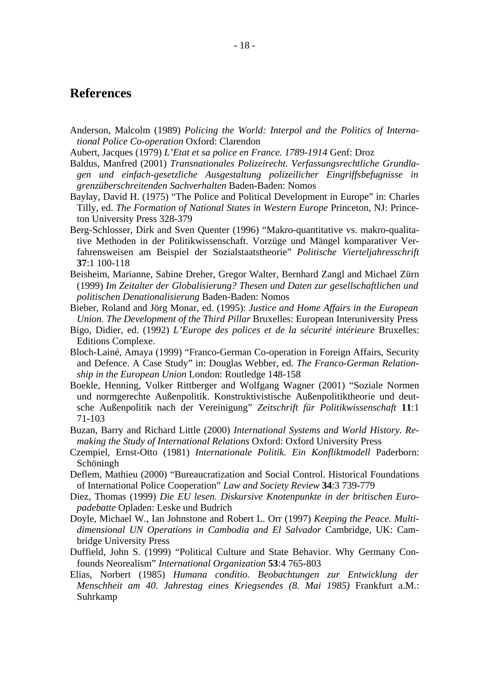## **References**

- Anderson, Malcolm (1989) *Policing the World: Interpol and the Politics of International Police Co-operation* Oxford: Clarendon
- Aubert, Jacques (1979) *L'Etat et sa police en France. 1789-1914* Genf: Droz
- Baldus, Manfred (2001) *Transnationales Polizeirecht. Verfassungsrechtliche Grundlagen und einfach-gesetzliche Ausgestaltung polizeilicher Eingriffsbefugnisse in grenzüberschreitenden Sachverhalten* Baden-Baden: Nomos
- Baylay, David H. (1975) "The Police and Political Development in Europe" in: Charles Tilly, ed. *The Formation of National States in Western Europe* Princeton, NJ: Princeton University Press 328-379
- Berg-Schlosser, Dirk and Sven Quenter (1996) "Makro-quantitative vs. makro-qualitative Methoden in der Politikwissenschaft. Vorzüge und Mängel komparativer Verfahrensweisen am Beispiel der Sozialstaatstheorie" *Politische Vierteljahresschrift* **37**:1 100-118
- Beisheim, Marianne, Sabine Dreher, Gregor Walter, Bernhard Zangl and Michael Zürn (1999) *Im Zeitalter der Globalisierung? Thesen und Daten zur gesellschaftlichen und politischen Denationalisierung* Baden-Baden: Nomos
- Bieber, Roland and Jörg Monar, ed. (1995): *Justice and Home Affairs in the European Union. The Development of the Third Pillar* Bruxelles: European Interuniversity Press
- Bigo, Didier, ed. (1992) *L'Europe des polices et de la sécurité intérieure* Bruxelles: Editions Complexe.
- Bloch-Lainé, Amaya (1999) "Franco-German Co-operation in Foreign Affairs, Security and Defence. A Case Study" in: Douglas Webber, ed. *The Franco-German Relationship in the European Union* London: Routledge 148-158
- Boekle, Henning, Volker Rittberger and Wolfgang Wagner (2001) "Soziale Normen und normgerechte Außenpolitik. Konstruktivistische Außenpolitiktheorie und deutsche Außenpolitik nach der Vereinigung" *Zeitschrift für Politikwissenschaft* **11**:1 71-103
- Buzan, Barry and Richard Little (2000) *International Systems and World History. Remaking the Study of International Relations* Oxford: Oxford University Press
- Czempiel, Ernst-Otto (1981) *Internationale Politik. Ein Konfliktmodell* Paderborn: Schöningh
- Deflem, Mathieu (2000) "Bureaucratization and Social Control. Historical Foundations of International Police Cooperation" *Law and Society Review* **34**:3 739-779
- Diez, Thomas (1999) *Die EU lesen. Diskursive Knotenpunkte in der britischen Europadebatte* Opladen: Leske und Budrich
- Doyle, Michael W., Ian Johnstone and Robert L. Orr (1997) *Keeping the Peace. Multidimensional UN Operations in Cambodia and El Salvador* Cambridge, UK: Cambridge University Press
- Duffield, John S. (1999) "Political Culture and State Behavior. Why Germany Confounds Neorealism" *International Organization* **53**:4 765-803
- Elias, Norbert (1985) *Humana conditio. Beobachtungen zur Entwicklung der Menschheit am 40. Jahrestag eines Kriegsendes (8. Mai 1985)* Frankfurt a.M.: Suhrkamp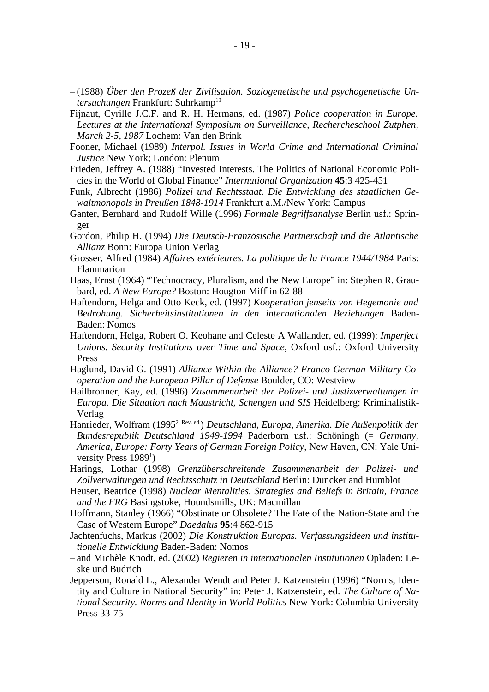- (1988) *Über den Prozeß der Zivilisation. Soziogenetische und psychogenetische Untersuchungen* Frankfurt: Suhrkamp<sup>13</sup>
- Fijnaut, Cyrille J.C.F. and R. H. Hermans, ed. (1987) *Police cooperation in Europe. Lectures at the International Symposium on Surveillance, Rechercheschool Zutphen, March 2-5, 1987* Lochem: Van den Brink
- Fooner, Michael (1989) *Interpol. Issues in World Crime and International Criminal Justice* New York; London: Plenum
- Frieden, Jeffrey A. (1988) "Invested Interests. The Politics of National Economic Policies in the World of Global Finance" *International Organization* **45**:3 425-451
- Funk, Albrecht (1986) *Polizei und Rechtsstaat. Die Entwicklung des staatlichen Gewaltmonopols in Preußen 1848-1914* Frankfurt a.M./New York: Campus
- Ganter, Bernhard and Rudolf Wille (1996) *Formale Begriffsanalyse* Berlin usf.: Springer
- Gordon, Philip H. (1994) *Die Deutsch-Französische Partnerschaft und die Atlantische Allianz* Bonn: Europa Union Verlag
- Grosser, Alfred (1984) *Affaires extérieures. La politique de la France 1944/1984* Paris: Flammarion
- Haas, Ernst (1964) "Technocracy, Pluralism, and the New Europe" in: Stephen R. Graubard, ed. *A New Europe?* Boston: Hougton Mifflin 62-88
- Haftendorn, Helga and Otto Keck, ed. (1997) *Kooperation jenseits von Hegemonie und Bedrohung. Sicherheitsinstitutionen in den internationalen Beziehungen* Baden-Baden: Nomos
- Haftendorn, Helga, Robert O. Keohane and Celeste A Wallander, ed. (1999): *Imperfect Unions. Security Institutions over Time and Space*, Oxford usf.: Oxford University Press
- Haglund, David G. (1991) *Alliance Within the Alliance? Franco-German Military Cooperation and the European Pillar of Defense* Boulder, CO: Westview
- Hailbronner, Kay, ed. (1996) *Zusammenarbeit der Polizei- und Justizverwaltungen in Europa. Die Situation nach Maastricht, Schengen und SIS* Heidelberg: Kriminalistik-Verlag
- Hanrieder, Wolfram (19952. Rev. ed.) *Deutschland, Europa, Amerika. Die Außenpolitik der Bundesrepublik Deutschland 1949-1994* Paderborn usf.: Schöningh (= *Germany, America, Europe: Forty Years of German Foreign Policy*, New Haven, CN: Yale University Press 1989<sup>1</sup>)
- Harings, Lothar (1998) *Grenzüberschreitende Zusammenarbeit der Polizei- und Zollverwaltungen und Rechtsschutz in Deutschland* Berlin: Duncker and Humblot
- Heuser, Beatrice (1998) *Nuclear Mentalities. Strategies and Beliefs in Britain, France and the FRG* Basingstoke, Houndsmills, UK: Macmillan
- Hoffmann, Stanley (1966) "Obstinate or Obsolete? The Fate of the Nation-State and the Case of Western Europe" *Daedalus* **95**:4 862-915
- Jachtenfuchs, Markus (2002) *Die Konstruktion Europas. Verfassungsideen und institutionelle Entwicklung* Baden-Baden: Nomos
- and Michèle Knodt, ed. (2002) *Regieren in internationalen Institutionen* Opladen: Leske und Budrich
- Jepperson, Ronald L., Alexander Wendt and Peter J. Katzenstein (1996) "Norms, Identity and Culture in National Security" in: Peter J. Katzenstein, ed. *The Culture of National Security. Norms and Identity in World Politics* New York: Columbia University Press 33-75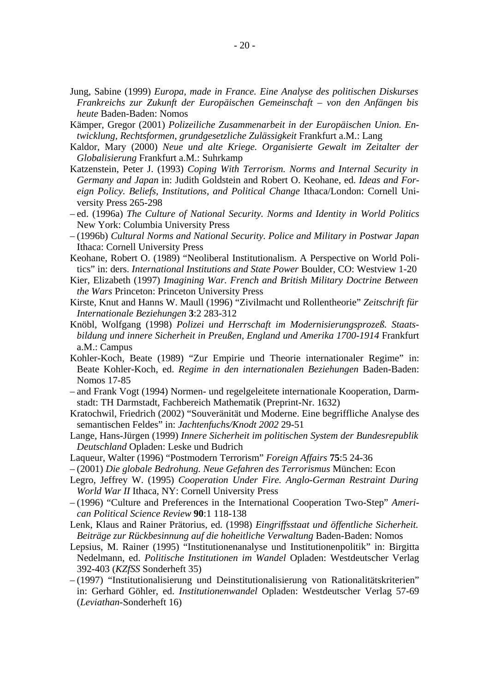- Jung, Sabine (1999) *Europa, made in France. Eine Analyse des politischen Diskurses Frankreichs zur Zukunft der Europäischen Gemeinschaft – von den Anfängen bis heute* Baden-Baden: Nomos
- Kämper, Gregor (2001) *Polizeiliche Zusammenarbeit in der Europäischen Union. Entwicklung, Rechtsformen, grundgesetzliche Zulässigkeit* Frankfurt a.M.: Lang
- Kaldor, Mary (2000) *Neue und alte Kriege. Organisierte Gewalt im Zeitalter der Globalisierung* Frankfurt a.M.: Suhrkamp
- Katzenstein, Peter J. (1993) *Coping With Terrorism. Norms and Internal Security in Germany and Japan* in: Judith Goldstein and Robert O. Keohane, ed. *Ideas and Foreign Policy. Beliefs, Institutions, and Political Change* Ithaca/London: Cornell University Press 265-298
- ed. (1996a) *The Culture of National Security. Norms and Identity in World Politics* New York: Columbia University Press
- (1996b) *Cultural Norms and National Security. Police and Military in Postwar Japan* Ithaca: Cornell University Press
- Keohane, Robert O. (1989) "Neoliberal Institutionalism. A Perspective on World Politics" in: ders. *International Institutions and State Power* Boulder, CO: Westview 1-20
- Kier, Elizabeth (1997) *Imagining War. French and British Military Doctrine Between the Wars* Princeton: Princeton University Press
- Kirste, Knut and Hanns W. Maull (1996) "Zivilmacht und Rollentheorie" *Zeitschrift für Internationale Beziehungen* **3**:2 283-312
- Knöbl, Wolfgang (1998) *Polizei und Herrschaft im Modernisierungsprozeß. Staatsbildung und innere Sicherheit in Preußen, England und Amerika 1700-1914* Frankfurt a.M.: Campus
- Kohler-Koch, Beate (1989) "Zur Empirie und Theorie internationaler Regime" in: Beate Kohler-Koch, ed. *Regime in den internationalen Beziehungen* Baden-Baden: Nomos 17-85
- and Frank Vogt (1994) Normen- und regelgeleitete internationale Kooperation, Darmstadt: TH Darmstadt, Fachbereich Mathematik (Preprint-Nr. 1632)
- Kratochwil, Friedrich (2002) "Souveränität und Moderne. Eine begriffliche Analyse des semantischen Feldes" in: *Jachtenfuchs/Knodt 2002* 29-51
- Lange, Hans-Jürgen (1999) *Innere Sicherheit im politischen System der Bundesrepublik Deutschland* Opladen: Leske und Budrich
- Laqueur, Walter (1996) "Postmodern Terrorism" *Foreign Affairs* **75**:5 24-36
- (2001) *Die globale Bedrohung. Neue Gefahren des Terrorismus* München: Econ
- Legro, Jeffrey W. (1995) *Cooperation Under Fire. Anglo-German Restraint During World War II* Ithaca, NY: Cornell University Press
- (1996) "Culture and Preferences in the International Cooperation Two-Step" *American Political Science Review* **90**:1 118-138
- Lenk, Klaus and Rainer Prätorius, ed. (1998) *Eingriffsstaat und öffentliche Sicherheit. Beiträge zur Rückbesinnung auf die hoheitliche Verwaltung* Baden-Baden: Nomos
- Lepsius, M. Rainer (1995) "Institutionenanalyse und Institutionenpolitik" in: Birgitta Nedelmann, ed. *Politische Institutionen im Wandel* Opladen: Westdeutscher Verlag 392-403 (*KZfSS* Sonderheft 35)
- (1997) "Institutionalisierung und Deinstitutionalisierung von Rationalitätskriterien" in: Gerhard Göhler, ed. *Institutionenwandel* Opladen: Westdeutscher Verlag 57-69 (*Leviathan*-Sonderheft 16)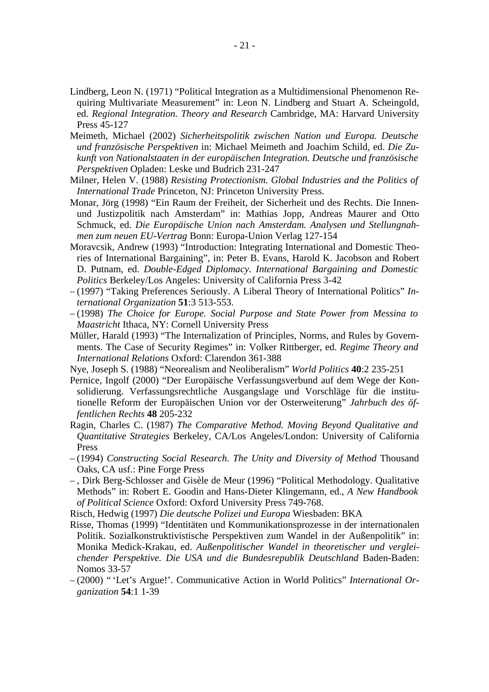- Lindberg, Leon N. (1971) "Political Integration as a Multidimensional Phenomenon Requiring Multivariate Measurement" in: Leon N. Lindberg and Stuart A. Scheingold, ed. *Regional Integration. Theory and Research* Cambridge, MA: Harvard University Press 45-127
- Meimeth, Michael (2002) *Sicherheitspolitik zwischen Nation und Europa. Deutsche und französische Perspektiven* in: Michael Meimeth and Joachim Schild, ed. *Die Zukunft von Nationalstaaten in der europäischen Integration. Deutsche und französische Perspektiven* Opladen: Leske und Budrich 231-247
- Milner, Helen V. (1988) *Resisting Protectionism. Global Industries and the Politics of International Trade* Princeton, NJ: Princeton University Press.
- Monar, Jörg (1998) "Ein Raum der Freiheit, der Sicherheit und des Rechts. Die Innenund Justizpolitik nach Amsterdam" in: Mathias Jopp, Andreas Maurer and Otto Schmuck, ed. *Die Europäische Union nach Amsterdam. Analysen und Stellungnahmen zum neuen EU-Vertrag* Bonn: Europa-Union Verlag 127-154
- Moravcsik, Andrew (1993) "Introduction: Integrating International and Domestic Theories of International Bargaining", in: Peter B. Evans, Harold K. Jacobson and Robert D. Putnam, ed. *Double-Edged Diplomacy. International Bargaining and Domestic Politics* Berkeley/Los Angeles: University of California Press 3-42
- (1997) "Taking Preferences Seriously. A Liberal Theory of International Politics" *International Organization* **51**:3 513-553.
- (1998) *The Choice for Europe. Social Purpose and State Power from Messina to Maastricht* Ithaca, NY: Cornell University Press
- Müller, Harald (1993) "The Internalization of Principles, Norms, and Rules by Governments. The Case of Security Regimes" in: Volker Rittberger, ed. *Regime Theory and International Relations* Oxford: Clarendon 361-388
- Nye, Joseph S. (1988) "Neorealism and Neoliberalism" *World Politics* **40**:2 235-251
- Pernice, Ingolf (2000) "Der Europäische Verfassungsverbund auf dem Wege der Konsolidierung. Verfassungsrechtliche Ausgangslage und Vorschläge für die institutionelle Reform der Europäischen Union vor der Osterweiterung" *Jahrbuch des öffentlichen Rechts* **48** 205-232
- Ragin, Charles C. (1987) *The Comparative Method. Moving Beyond Qualitative and Quantitative Strategies* Berkeley, CA/Los Angeles/London: University of California Press
- (1994) *Constructing Social Research. The Unity and Diversity of Method* Thousand Oaks, CA usf.: Pine Forge Press
- , Dirk Berg-Schlosser and Gisèle de Meur (1996) "Political Methodology. Qualitative Methods" in: Robert E. Goodin and Hans-Dieter Klingemann, ed., *A New Handbook of Political Science* Oxford: Oxford University Press 749-768.
- Risch, Hedwig (1997) *Die deutsche Polizei und Europa* Wiesbaden: BKA
- Risse, Thomas (1999) "Identitäten und Kommunikationsprozesse in der internationalen Politik. Sozialkonstruktivistische Perspektiven zum Wandel in der Außenpolitik" in: Monika Medick-Krakau, ed. *Außenpolitischer Wandel in theoretischer und vergleichender Perspektive. Die USA und die Bundesrepublik Deutschland* Baden-Baden: Nomos 33-57
- (2000) " 'Let's Argue!'. Communicative Action in World Politics" *International Organization* **54**:1 1-39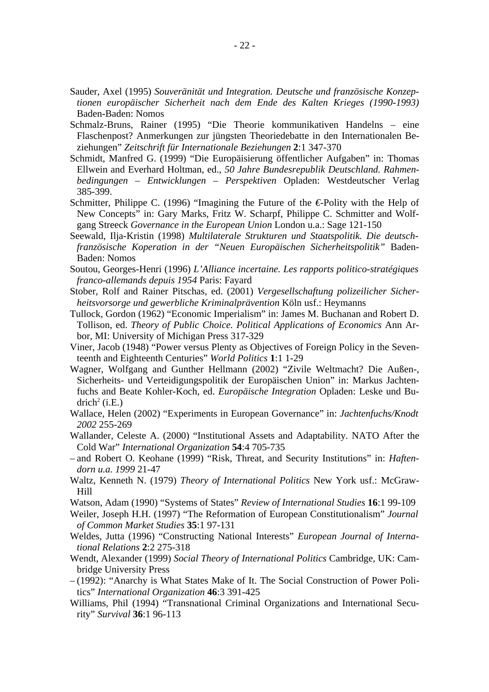- Sauder, Axel (1995) *Souveränität und Integration. Deutsche und französische Konzeptionen europäischer Sicherheit nach dem Ende des Kalten Krieges (1990-1993)* Baden-Baden: Nomos
- Schmalz-Bruns, Rainer (1995) "Die Theorie kommunikativen Handelns eine Flaschenpost? Anmerkungen zur jüngsten Theoriedebatte in den Internationalen Beziehungen" *Zeitschrift für Internationale Beziehungen* **2**:1 347-370
- Schmidt, Manfred G. (1999) "Die Europäisierung öffentlicher Aufgaben" in: Thomas Ellwein and Everhard Holtman, ed., *50 Jahre Bundesrepublik Deutschland. Rahmenbedingungen – Entwicklungen – Perspektiven* Opladen: Westdeutscher Verlag 385-399.
- Schmitter, Philippe C. (1996) "Imagining the Future of the *€*-Polity with the Help of New Concepts" in: Gary Marks, Fritz W. Scharpf, Philippe C. Schmitter and Wolfgang Streeck *Governance in the European Union* London u.a.: Sage 121-150
- Seewald, Ilja-Kristin (1998) *Multilaterale Strukturen und Staatspolitik. Die deutschfranzösische Koperation in der "Neuen Europäischen Sicherheitspolitik"* Baden-Baden: Nomos
- Soutou, Georges-Henri (1996) *L'Alliance incertaine. Les rapports politico-stratégiques franco-allemands depuis 1954* Paris: Fayard
- Stober, Rolf and Rainer Pitschas, ed. (2001) *Vergesellschaftung polizeilicher Sicherheitsvorsorge und gewerbliche Kriminalprävention* Köln usf.: Heymanns
- Tullock, Gordon (1962) "Economic Imperialism" in: James M. Buchanan and Robert D. Tollison, ed. *Theory of Public Choice. Political Applications of Economics* Ann Arbor, MI: University of Michigan Press 317-329
- Viner, Jacob (1948) "Power versus Plenty as Objectives of Foreign Policy in the Seventeenth and Eighteenth Centuries" *World Politics* **1**:1 1-29
- Wagner, Wolfgang and Gunther Hellmann (2002) "Zivile Weltmacht? Die Außen-, Sicherheits- und Verteidigungspolitik der Europäischen Union" in: Markus Jachtenfuchs and Beate Kohler-Koch, ed. *Europäische Integration* Opladen: Leske und Bu $drich<sup>2</sup>$  (i.E.)
- Wallace, Helen (2002) "Experiments in European Governance" in: *Jachtenfuchs/Knodt 2002* 255-269
- Wallander, Celeste A. (2000) "Institutional Assets and Adaptability. NATO After the Cold War" *International Organization* **54**:4 705-735
- and Robert O. Keohane (1999) "Risk, Threat, and Security Institutions" in: *Haftendorn u.a. 1999* 21-47
- Waltz, Kenneth N. (1979) *Theory of International Politics* New York usf.: McGraw-Hill
- Watson, Adam (1990) "Systems of States" *Review of International Studies* **16**:1 99-109
- Weiler, Joseph H.H. (1997) "The Reformation of European Constitutionalism" *Journal of Common Market Studies* **35**:1 97-131
- Weldes, Jutta (1996) "Constructing National Interests" *European Journal of International Relations* **2**:2 275-318
- Wendt, Alexander (1999) *Social Theory of International Politics* Cambridge, UK: Cambridge University Press
- (1992): "Anarchy is What States Make of It. The Social Construction of Power Politics" *International Organization* **46**:3 391-425
- Williams, Phil (1994) "Transnational Criminal Organizations and International Security" *Survival* **36**:1 96-113